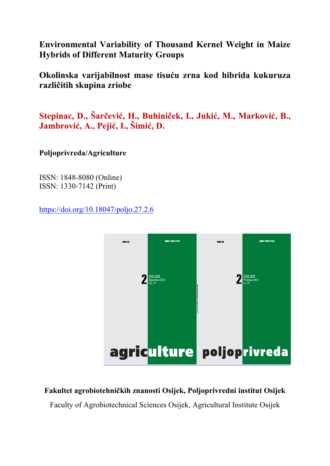**Environmental Variability of Thousand Kernel Weight in Maize Hybrids of Different Maturity Groups**

**Okolinska varijabilnost mase tisuću zrna kod hibrida kukuruza različitih skupina zriobe** 

**Stepinac, D., Šarčević, H., Buhiniček, I., Jukić, M., Marković, B., Jambrović, A., Pejić, I., Šimić, D.**

**Poljoprivreda/Agriculture** 

ISSN: 1848-8080 (Online) ISSN: 1330-7142 (Print)

https://doi.org/10.18047/poljo.27.2.6



**Fakultet agrobiotehničkih znanosti Osijek, Poljoprivredni institut Osijek** 

Faculty of Agrobiotechnical Sciences Osijek, Agricultural Institute Osijek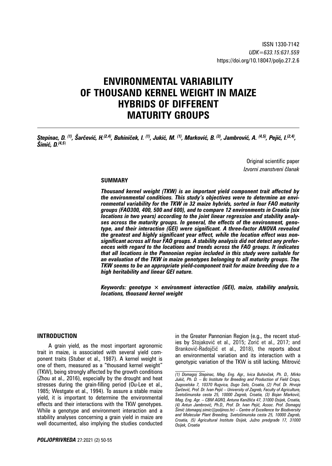# **ENVIRONMENTAL VARIABILITY OF THOUSAND KERNEL WEIGHT IN MAIZE HYBRIDS OF DIFFERENT MATURITY GROUPS**

Stepinac, D. <sup>(1)</sup>, Šarčević, H.<sup>(2,4)</sup>, Buhiniček, I. <sup>(1)</sup>, Jukić, M. <sup>(1)</sup>, Marković, B. <sup>(3)</sup>, Jambrović, A. <sup>(4,5)</sup>, Pejić, I.<sup>(2,4)</sup>, *Šimić, D.(4,5*)

> Original scientific paper *Izvorni znanstveni članak*

#### **SUMMARY**

*Thousand kernel weight (TKW) is an important yield component trait affected by the environmental conditions. This study's objectives were to determine an environmental variability for the TKW in 32 maize hybrids, sorted in four FAO maturity groups (FAO300, 400, 500 and 600), and to compare 12 environments in Croatia (six locations in two years) according to the joint linear regression and stability analyses across the maturity groups. In general, the effects of the environment, genotype, and their interaction (GEI) were significant. A three-factor ANOVA revealed the greatest and highly significant year effect, while the location effect was nonsignificant across all four FAO groups. A stability analysis did not detect any preferences with regard to the locations and trends across the FAO groups. It indicates that all locations in the Pannonian region included in this study were suitable for an evaluation of the TKW in maize genotypes belonging to all maturity groups. The TKW seems to be an appropriate yield-component trait for maize breeding due to a high heritability and linear GEI nature.*

*Keywords: genotype × environment interaction (GEI), maize, stability analysis, locations, thousand kernel weight*

#### **INTRODUCTION**

A grain yield, as the most important agronomic trait in maize, is associated with several yield component traits (Stuber et al., 1987). A kernel weight is one of them, measured as a "thousand kernel weight" (TKW), being strongly affected by the growth conditions (Zhou at al., 2016), especially by the drought and heat stresses during the grain-filling period (Ou-Lee et al., 1985; Westgate et al., 1994). To assure a stable maize yield, it is important to determine the environmental effects and their interactions with the TKW genotypes. While a genotype and environment interaction and a stability analyses concerning a grain yield in maize are well documented, also implying the studies conducted in the Greater Pannonian Region (e.g., the recent studies by Stojaković et al., 2015; Zorić et al., 2017; and Branković-Radojčić et al., 2018), the reports about an environmental variation and its interaction with a genotypic variation of the TKW is still lacking. Mitrović

*<sup>(1)</sup> Domagoj Stepinac, Mag. Eng. Agr., Ivica Buhiniček, Ph. D., Mirko Jukić, Ph. D. – Bc Institute for Breeding and Production of Field Crops, Dugoselska 7, 10370 Rugvica, Dugo Selo, Croatia, (2) Prof. Dr. Hrvoje Šarčević, Prof. Dr. Ivan Pejić – University of Zagreb, Faculty of Agriculture, Svetošimunska cesta 25, 10000 Zagreb, Croatia, (3) Bojan Marković, Mag. Eng. Agr. – CBM AGRO, Antuna Kanižlića 47, 31000 Osijek, Croatia, (4) Antun Jambrović, Ph.D., Prof. Dr. Ivan Pejić, Assoc. Prof. Domagoj Šimić (domagoj.simic@poljinos.hr) – Centre of Excellence for Biodiversity and Molecular Plant Breeding, Svetošimunska cesta 25, 10000 Zagreb, Croatia, (5) Agricultural Institute Osijek, Južno predgrađe 17, 31000 Osijek, Croatia*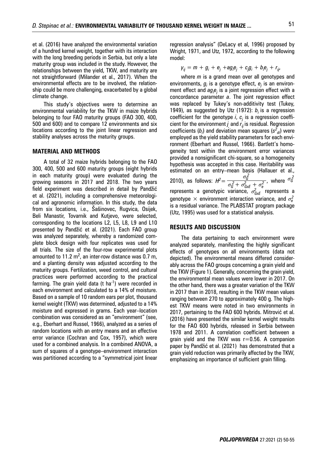et al. (2016) have analyzed the environmental variation of a hundred kernel weight, together with its interaction with the long breeding periods in Serbia, but only a late maturity group was included in the study. However, the relationships between the yield, TKW, and maturity are not straightforward (Milander et al., 2017). When the environmental effects are to be involved, the relationship could be more challenging, exacerbated by a global climate change.

This study's objectives were to determine an environmental variability for the TKW in maize hybrids belonging to four FAO maturity groups (FAO 300, 400, 500 and 600) and to compare 12 environments and six locations according to the joint linear regression and stability analyses across the maturity groups.

#### **MATERIAL AND METHODS**

A total of 32 maize hybrids belonging to the FAO 300, 400, 500 and 600 maturity groups (eight hybrids in each maturity group) were evaluated during the growing seasons in 2017 and 2018. The two years field experiment was described in detail by Pandžić et al. (2021), including a comprehensive meteorological and agronomic information. In this study, the data from six locations, i.e., Šašinovec, Rugvica, Osijek, Beli Manastir, Tovarnik and Kutjevo, were selected, corresponding to the locations L2, L5, L8, L9 and L10 presented by Pandžić et al. (2021). Each FAO group was analyzed separately, whereby a randomized complete block design with four replicates was used for all trials. The size of the four-row experimental plots amounted to 11.2  $m^2$ , an inter-row distance was 0.7 m, and a planting density was adjusted according to the maturity groups. Fertilization, weed control, and cultural practices were performed according to the practical farming. The grain yield data (t ha<sup>-1</sup>) were recorded in each environment and calculated to a 14% of moisture. Based on a sample of 10 random ears per plot, thousand kernel weight (TKW) was determined, adjusted to a 14% moisture and expressed in grams. Each year–location combination was considered as an "environment" (see, e.g., Eberhart and Russel, 1966), analyzed as a series of random locations with an entry means and an effective error variance (Cochran and Cox, 1957), which were used for a combined analysis. In a combined ANOVA, a sum of squares of a genotype–environment interaction was partitioned according to a "symmetrical joint linear

regression analysis" (DeLacy et al, 1996) proposed by Wright, 1971, and Utz, 1972, according to the following model:

 $y_{ij} = m + g_i + e_j + ag_i e_j + cg_j g_i + b_i e_j + r_{ij}$ 

where *m* is a grand mean over all genotypes and environments,  $g_i$  is a genotype effect,  $e_j$  is an environment effect and  $ag_i e_j$  is a joint regression effect with a concordance parameter *a*. The joint regression effect was replaced by Tukey's non-additivity test (Tukey, 1949), as suggested by Utz (1972): *bi* is a regression coefficient for the genotype *i*, *cj* is a regression coefficient for the environment  $j$  and  $r_{ij}$  is residual. Regression coefficients (*bi* ) and deviation mean squares (*s<sup>2</sup> di*) were employed as the yield stability parameters for each environment (Eberhart and Russel, 1966). Bartlett's homogeneity test within the environment error variances provided a nonsignificant chi-square, so a homogeneity hypothesis was accepted in this case. Heritability was estimated on an entry–mean basis (Hallauer et al., 2010), as follows:  $H^2 = \frac{\sigma_6^2}{\sigma_6^2}$  $H^2 = \frac{\sigma_{\hat{G}}^2}{\sigma_{\hat{G}}^2 + \sigma_{GxE}^2 + \sigma_e^2}$ , where  $\sigma_{\hat{G}}^2$ represents a genotypic variance,  $\sigma^2_{GxE}$  represents a genotype  $\times$  environment interaction variance, and  $\sigma_e^2$ is a residual variance. The PLABSTAT program package (Utz, 1995) was used for a statistical analysis.

#### **RESULTS AND DISCUSSION**

The data pertaining to each environment were analyzed separately, manifesting the highly significant effects of genotypes on all environments (data not depicted). The environmental means differed considerably across the FAO groups concerning a grain yield and the TKW (Figure 1). Generally, concerning the grain yield, the environmental mean values were lower in 2017. On the other hand, there was a greater variation of the TKW in 2017 than in 2018, resulting in the TKW mean values ranging between 270 to approximately 400 g. The highest TKW means were noted in two environments in 2017, pertaining to the FAO 600 hybrids. Mitrović et al. (2016) have presented the similar kernel weight results for the FAO 600 hybrids, released in Serbia between 1978 and 2011. A correlation coefficient between a grain yield and the TKW was  $r=0.56$ . A companion paper by Pandžić et al. (2021) has demonstrated that a grain yield reduction was primarily affected by the TKW, emphasizing an importance of sufficient grain filling.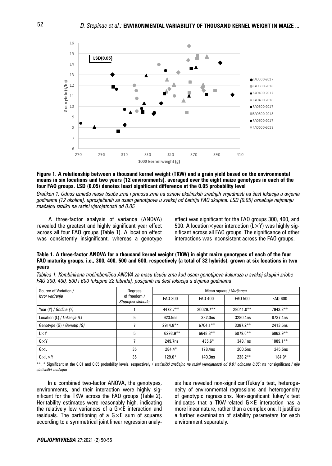

**Figure 1. A relationship between a thousand kernel weight (TKW) and a grain yield based on the environmental means in six locations and two years (12 environments), averaged over the eight maize genotypes in each of the four FAO groups. LSD (0.05) denotes least significant difference at the 0.05 probability level**

*Grafikon 1. Odnos između mase tisuće zrna i prinosa zrna na osnovi okolinskih srednjih vrijednosti na šest lokacija u dvjema godinama (12 okolina), uprosječenih za osam genotipova u svakoj od četiriju FAO skupina. LSD (0.05) označuje najmanju značajnu razliku na razini vjerojatnosti od 0.05*

A three-factor analysis of variance (ANOVA) revealed the greatest and highly significant year effect across all four FAO groups (Table 1). A location effect was consistently insignificant, whereas a genotype effect was significant for the FAO groups 300, 400, and 500. A location $\times$ year interaction (L $\times$ Y) was highly significant across all FAO groups. The significance of other interactions was inconsistent across the FAO groups.

**Table 1. A three-factor ANOVA for a thousand kernel weight (TKW) in eight maize genotypes of each of the four FAO maturity groups, i.e., 300, 400, 500 and 600, respectively (a total of 32 hybrids), grown at six locations in two years**

|  | Tablica 1. Kombinirana tročimbenična ANOVA za masu tisuću zrna kod osam genotipova kukuruza u svakoj skupini zriobe |
|--|---------------------------------------------------------------------------------------------------------------------|
|  | FAO 300, 400, 500 i 600 (ukupno 32 hibrida), posijanih na šest lokacija u dvjema godinama                           |
|  |                                                                                                                     |

| Source of Variation /<br>Izvor variranja | Degrees                           | Mean square / Varijanca |             |                |             |  |  |
|------------------------------------------|-----------------------------------|-------------------------|-------------|----------------|-------------|--|--|
|                                          | of freedom /<br>Stupnjevi slobode | FAO 300                 | FAO 400     | <b>FAO 500</b> | FAO 600     |  |  |
| Year (Y) / Godina (Y)                    |                                   | 4472.7**                | 20029.7**   | 29041.0**      | 7943.2**    |  |  |
| Location (L) / Lokacija (L)              | 5                                 | 923.5ns                 | 382.0ns     | 3280.4ns       | 8737.4ns    |  |  |
| Genotype (G) / Genotip (G)               |                                   | 2914.8**                | $6704.1***$ | $3387.2**$     | 2413.5ns    |  |  |
| $L \times Y$                             | 5                                 | $6293.9**$              | 6648.8**    | $6079.6**$     | 6863.9**    |  |  |
| $G \times Y$                             |                                   | 249.7ns                 | $435.6*$    | 348.1ns        | $1889.1***$ |  |  |
| $G\times L$                              | 35                                | 284.4*                  | 178.4ns     | 200.5ns        | 245.5ns     |  |  |
| $G \times L \times Y$                    | 35                                | $129.6*$                | 140.3ns     | $238.2**$      | $184.9*$    |  |  |

\*\*, \* Significant at the 0.01 and 0.05 probability levels, respectively / *statistički značajno na razini vjerojatnosti od 0,01 odnosno 0,05*; ns nonsignificant / *nije statistički značajno*

In a combined two-factor ANOVA, the genotypes, environments, and their interaction were highly significant for the TKW across the FAO groups (Table 2). Heritability estimates were reasonably high, indicating the relatively low variances of a  $G \times E$  interaction and residuals. The partitioning of a  $G \times E$  sum of squares according to a symmetrical joint linear regression analy-

sis has revealed non-significantTukey's test, heterogeneity of environmental regressions and heterogeneity of genotypic regressions. Non-significant Tukey's test indicates that a TKW-related G×E interaction has a more linear nature, rather than a complex one. It justifies a further examination of stability parameters for each environment separately.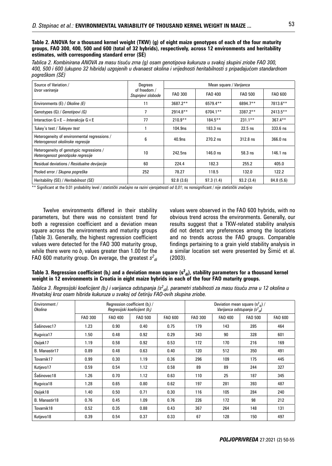**Table 2. ANOVA for a thousand kernel weight (TKW) (g) of eight maize genotypes of each of the four maturity groups, FAO 300, 400, 500 and 600 (total of 32 hybrids), respectively, across 12 environments and heritability estimates, with corresponding standard error (SE)**

*Tablica 2. Kombinirana ANOVA za masu tisuću zrna (g) osam genotipova kukuruza u svakoj skupini zriobe FAO 300, 400, 500 i 600 (ukupno 32 hibrida) uzgojenih u dvanaest okolina i vrijednosti heritabilnosti s pripadajućom standardnom pogreškom (SE)*

| Source of Variation /                                                            | Degrees                           | Mean square / Varijanca |            |             |             |  |
|----------------------------------------------------------------------------------|-----------------------------------|-------------------------|------------|-------------|-------------|--|
| Izvor variranja                                                                  | of freedom /<br>Stupnjevi slobode | FAO 300                 | FAO 400    | FAO 500     | FAO 600     |  |
| Environments (E) / Okoline (E)                                                   | 11                                | $3687.2**$              | 6579.4**   | 6894.7**    | 7813.6**    |  |
| Genotypes (G) / Genotipovi (G)                                                   | 7                                 | $2914.8**$              | 6704.1**   | $3387.2***$ | $2413.5***$ |  |
| Interaction $G \times E$ – Interakcija $G \times E$                              | 77                                | $210.9**$               | $184.5***$ | $231.1***$  | $367.4***$  |  |
| Tukey's test / Tukeyev test                                                      |                                   | 104.9ns                 | $183.3$ ns | $22.5$ ns   | $333.6$ ns  |  |
| Heterogeneity of environmental regressions /<br>Heterogenost okolinske regresije | 6                                 | 40.9 <sub>ns</sub>      | $270.2$ ns | $312.8$ ns  | $366.0$ ns  |  |
| Heterogeneity of genotypic regressions /<br>Heterogenost genotipske regresije    | 10                                | 242.5ns                 | $146.0$ ns | $58.3$ ns   | 146.1 ns    |  |
| Residual deviations / Residualne devijacije                                      | 60                                | 224.4                   | 182.3      | 255.2       | 405.0       |  |
| Pooled error / Skupna pogreška                                                   | 252                               | 78.27                   | 118.5      | 132.0       | 122.2       |  |
| Heritability (SE) / Heritabilnost (SE)                                           |                                   | 92.8(3.6)               | 97.3(1.4)  | 93.2(3.4)   | 84.8 (5.6)  |  |

\*\* Significant at the 0.01 probability level / *statistički značajno na razini vjerojatnosti od 0,01*; ns nonsignificant / *nije statistički značajno*

Twelve environments differed in their stability parameters, but there was no consistent trend for both a regression coefficient and a deviation mean square across the environments and maturity groups (Table 3). Generally, the highest regression coefficient values were detected for the FAO 300 maturity group, while there were no  $b_i$  values greater than 1.00 for the FAO 600 maturity group. On average, the greatest *s<sup>2</sup> di*

values were observed in the FAO 600 hybrids, with no obvious trend across the environments. Generally, our results suggest that a TKW-related stability analysis did not detect any preferences among the locations and no trends across the FAO groups. Comparable findings pertaining to a grain yield stability analysis in a similar location set were presented by Šimić et al. (2003).

#### Table 3. Regression coefficient (b<sub>i</sub>) and a deviation mean square (s<sup>2</sup><sub>di</sub>), stability parameters for a thousand kernel **weight in 12 environments in Croatia in eight maize hybrids in each of the four FAO maturity groups.**

*Tablica 3. Regresijski koeficijent (bi ) i varijanca odstupanja (s<sup>2</sup> di), parametri stabilnosti za masu tisuću zrna u 12 okolina u Hrvatskoj kroz osam hibrida kukuruza u svakoj od četiriju FAO-ovih skupina zriobe.*

| Environment /<br>Okolina | Regression coefficient $(b_i)$ /<br>Regresijski koeficijent (b.) |         |                |         | Deviation mean square $(s^2_{\text{di}})/$<br>Varijanca odstupanja (s <sup>2</sup> <sub>di</sub> ) |         |                |         |
|--------------------------|------------------------------------------------------------------|---------|----------------|---------|----------------------------------------------------------------------------------------------------|---------|----------------|---------|
|                          | FA0 300                                                          | FAO 400 | <b>FAO 500</b> | FAO 600 | <b>FAO 300</b>                                                                                     | FAO 400 | <b>FAO 500</b> | FAO 600 |
| Šašinovec17              | 1.23                                                             | 0.90    | 0.40           | 0.75    | 179                                                                                                | 143     | 285            | 464     |
| Rugvica17                | 1.50                                                             | 0.48    | 0.92           | 0.29    | 343                                                                                                | 90      | 328            | 601     |
| Osijek17                 | 1.19                                                             | 0.58    | 0.92           | 0.53    | 172                                                                                                | 170     | 216            | 169     |
| B. Manastir17            | 0.89                                                             | 0.48    | 0.63           | 0.40    | 120                                                                                                | 512     | 350            | 491     |
| Tovarnik17               | 0.99                                                             | 0.30    | 1.19           | 0.36    | 296                                                                                                | 109     | 175            | 445     |
| Kutjevo17                | 0.59                                                             | 0.54    | 1.12           | 0.58    | 89                                                                                                 | 89      | 244            | 327     |
| Šašinovec18              | 1.26                                                             | 0.70    | 1.12           | 0.63    | 110                                                                                                | 25      | 187            | 345     |
| Rugvica18                | 1.28                                                             | 0.65    | 0.80           | 0.62    | 197                                                                                                | 281     | 393            | 487     |
| Osijek18                 | 1.40                                                             | 0.50    | 0.71           | 0.30    | 116                                                                                                | 105     | 284            | 240     |
| B. Manastir18            | 0.76                                                             | 0.45    | 1.09           | 0.76    | 226                                                                                                | 172     | 98             | 212     |
| Tovarnik18               | 0.52                                                             | 0.35    | 0.88           | 0.43    | 367                                                                                                | 264     | 148            | 131     |
| Kutjevo18                | 0.39                                                             | 0.54    | 0.37           | 0.33    | 67                                                                                                 | 128     | 150            | 497     |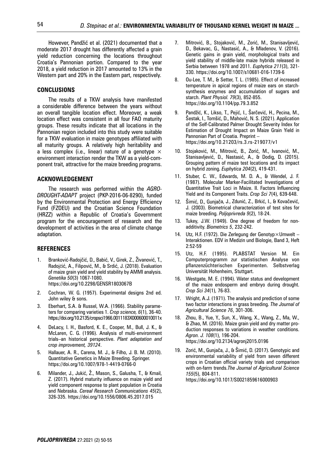However, Pandžić et al. (2021) documented that a moderate 2017 drought has differently affected a grain yield reduction concerning the locations throughout Croatia's Pannonian portion. Compared to the year 2018, a yield reduction in 2017 amounted to 13% in the Western part and 20% in the Eastern part, respectively.

#### **CONCLUSIONS**

The results of a TKW analysis have manifested a considerable difference between the years without an overall tangible location effect. Moreover, a weak location effect was consistent in all four FAO maturity groups. These results indicate that all locations in the Pannonian region included into this study were suitable for a TKW evaluation in maize genotypes affiliated with all maturity groups. A relatively high heritability and a less complex (i.e., linear) nature of a genotype  $\times$ environment interaction render the TKW as a yield-component trait, attractive for the maize breeding programs.

#### **ACKNOWLEDGEMENT**

The research was performed within the *AGRO-DROUGHT-ADAPT* project (PKP-2016-06-8290), funded by the Environmental Protection and Energy Efficiency Fund (FZOEU) and the Croatian Science Foundation (HRZZ) within a Republic of Croatia's Government program for the encouragement of research and the development of activities in the area of climate change adaptation.

#### **REFERENCES**

- 1. Branković-Radojčić, D., Babić, V., Girek, Z., Živanović, T., Radojĉić, A., Filipović, M., & Srdić, J. (2018). Evaluation of maize grain yield and yield stability by AMMI analysis. *Genetika 50*(3) 1067-1080. https://doi.org/10.2298/GENSR1803067B
- 2. Cochran, W. G. (1957). Experimental designs 2nd ed. John wiley & sons.
- 3. Eberhart, S.A. & Russel, W.A. (1966). Stability parameters for comparing varieties 1. *Crop science, 6*(1), 36-40. https://doi.org/10.2135/cropsci1966.0011183X000600010011x
- 4. DeLacy, I. H., Basford, K. E., Cooper, M., Bull, J. K., & McLaren, C. G. (1996). Analysis of multi-environment trials–an historical perspective. *Plant adaptation and crop improvement, 39124*.
- 5. Hallauer, A. R., Carena, M. J., & Filho, J. B. M. (2010). Quantitative Genetics in Maize Breeding. Springer. https://doi.org/10.1007/978-1-4419-0766-0
- 6. Milander, J., Jukić, Ž., Mason, S., Galusha, T., & Kmail, Z. (2017). Hybrid maturity influence on maize yield and yield component response to plant population in Croatia and Nebraska. *Cereal Research Communications 45*(2), 326-335. https://doi.org/10.1556/0806.45.2017.015
- 7. Mitrović, B., Stojaković, M., Zorić, M., Stanisavljević, D., Bekavac, G., Nastasić, A., & Mladenov, V. (2016). Genetic gains in grain yield, morphological traits and yield stability of middle-late maize hybrids released in Serbia between 1978 and 2011. *Euphytica 211*(3), 321- 330. https://doi.org/10.1007/s10681-016-1739-6
- 8. Ou-Lee, T. M., & Setter, T. L. (1985). Effect of increased temperature in apical regions of maize ears on starchsynthesis enzymes and accumulation of sugars and starch. *Plant Physiol. 79*(3), 852-855. https://doi.org/10.1104/pp.79.3.852
- 9. Pandžić, K., Likso, T., Pejić, I., Šarčević, H., Pecina, M., Šestak, I., Tomšić, D., Mahović, N. S. (2021). Application of the Self-Calibrated Palmer Drought Severity Index for Estimation of Drought Impact on Maize Grain Yield in Pannonian Part of Croatia. Preprint – https://doi.org/10.21203/rs.3.rs-219077/v1
- 10. Stojaković, M., Mitrović, B., Zorić, M., Ivanović, M., Stanisavljević, D., Nastasić, A., & Dodig, D. (2015). Grouping pattern of maize test locations and its impact on hybrid zoning. *Euphytica 204*(2), 419-431.
- 11. Stuber, C. W., Edwards, M. D. A., & Wendel, J. F. (1987). Molecular Marker-Facilitated Investigations of Quantitative Trait Loci in Maize. II. Factors Influencing Yield and its Component Traits. *Crop Sci 7*(4), 639-648.
- 12. Šimić, D., Gunjača, J., Zdunić, Z., Brkić, I., & Kovačević, J. (2003). Biometrical characterization of test sites for maize breeding. *Poljoprivreda 9*(2), 18-24.
- 13. Tukey, J.W. (1949). One degree of freedom for nonadditivity. *Biometrics 5*, 232-242.
- 14. Utz, H.F. (1972). Die Zerlegung der Genotyp×Umwelt Interaktionen. EDV in Medizin und Biologie, Band 3, Heft 2:52-59
- 15. Utz, H.F. (1995). PLABSTAT Version M. Ein Computerprogramm zur statistischen Analyse von pflanzenzüchterischen Experimenten. Selbstverlag Universität Hohenheim, Stuttgart.
- 16. Westgate, M. E. (1994). Water status and development of the maize endosperm and embryo during drought. *Crop Sci 34*(1), 76-83.
- 17. Wright, A.J. (1971). The analysis and prediction of some two factor interactions in grass breeding. *The Journal of Agricultural Science 76*, 301-306.
- 18. Zhou, B., Yue, Y., Sun, X., Wang, X., Wang, Z., Ma, W., & Zhao, M. (2016). Maize grain yield and dry matter production responses to variations in weather conditions. *Agron. J. 108*(1), 196-204. https://doi.org/10.2134/agronj2015.0196
- 19. Zorić, M., Gunjača, J., & Šimić, D. (2017). Genotypic and environmental variability of yield from seven different crops in Croatian official variety trials and comparison with on-farm trends.*The Journal of Agricultural Science 155*(5), 804-811. https://doi.org/10.1017/S0021859616000903